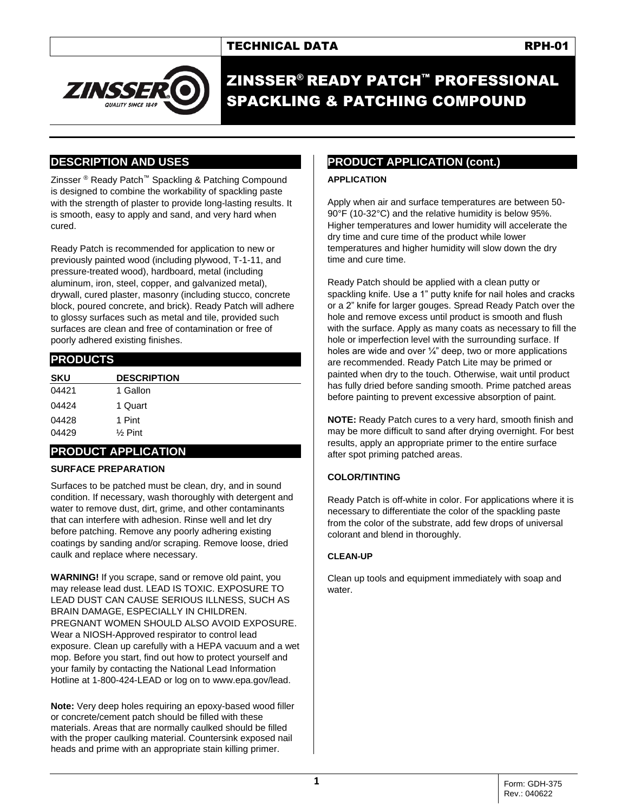

ZINSSER® READY PATCH™ PROFESSIONAL SPACKLING & PATCHING COMPOUND

# **DESCRIPTION AND USES**

Zinsser ® Ready Patch™ Spackling & Patching Compound is designed to combine the workability of spackling paste with the strength of plaster to provide long-lasting results. It is smooth, easy to apply and sand, and very hard when cured.

Ready Patch is recommended for application to new or previously painted wood (including plywood, T-1-11, and pressure-treated wood), hardboard, metal (including aluminum, iron, steel, copper, and galvanized metal), drywall, cured plaster, masonry (including stucco, concrete block, poured concrete, and brick). Ready Patch will adhere to glossy surfaces such as metal and tile, provided such surfaces are clean and free of contamination or free of poorly adhered existing finishes.

# **PRODUCTS**

| <b>SKU</b> | <b>DESCRIPTION</b> |
|------------|--------------------|
| 04421      | 1 Gallon           |
| 04424      | 1 Quart            |
| 04428      | 1 Pint             |
| 04429      | $%$ Pint           |

# **PRODUCT APPLICATION**

### **SURFACE PREPARATION**

Surfaces to be patched must be clean, dry, and in sound condition. If necessary, wash thoroughly with detergent and water to remove dust, dirt, grime, and other contaminants that can interfere with adhesion. Rinse well and let dry before patching. Remove any poorly adhering existing coatings by sanding and/or scraping. Remove loose, dried caulk and replace where necessary.

**WARNING!** If you scrape, sand or remove old paint, you may release lead dust. LEAD IS TOXIC. EXPOSURE TO LEAD DUST CAN CAUSE SERIOUS ILLNESS, SUCH AS BRAIN DAMAGE, ESPECIALLY IN CHILDREN. PREGNANT WOMEN SHOULD ALSO AVOID EXPOSURE. Wear a NIOSH-Approved respirator to control lead exposure. Clean up carefully with a HEPA vacuum and a wet mop. Before you start, find out how to protect yourself and your family by contacting the National Lead Information Hotline at 1-800-424-LEAD or log on to www.epa.gov/lead.

**Note:** Very deep holes requiring an epoxy-based wood filler or concrete/cement patch should be filled with these materials. Areas that are normally caulked should be filled with the proper caulking material. Countersink exposed nail heads and prime with an appropriate stain killing primer.

# **PRODUCT APPLICATION (cont.)**

#### **APPLICATION**

Apply when air and surface temperatures are between 50- 90°F (10-32°C) and the relative humidity is below 95%. Higher temperatures and lower humidity will accelerate the dry time and cure time of the product while lower temperatures and higher humidity will slow down the dry time and cure time.

Ready Patch should be applied with a clean putty or spackling knife. Use a 1" putty knife for nail holes and cracks or a 2" knife for larger gouges. Spread Ready Patch over the hole and remove excess until product is smooth and flush with the surface. Apply as many coats as necessary to fill the hole or imperfection level with the surrounding surface. If holes are wide and over  $\frac{1}{4}$ " deep, two or more applications are recommended. Ready Patch Lite may be primed or painted when dry to the touch. Otherwise, wait until product has fully dried before sanding smooth. Prime patched areas before painting to prevent excessive absorption of paint.

**NOTE:** Ready Patch cures to a very hard, smooth finish and may be more difficult to sand after drying overnight. For best results, apply an appropriate primer to the entire surface after spot priming patched areas.

### **COLOR/TINTING**

Ready Patch is off-white in color. For applications where it is necessary to differentiate the color of the spackling paste from the color of the substrate, add few drops of universal colorant and blend in thoroughly.

#### **CLEAN-UP**

Clean up tools and equipment immediately with soap and water.